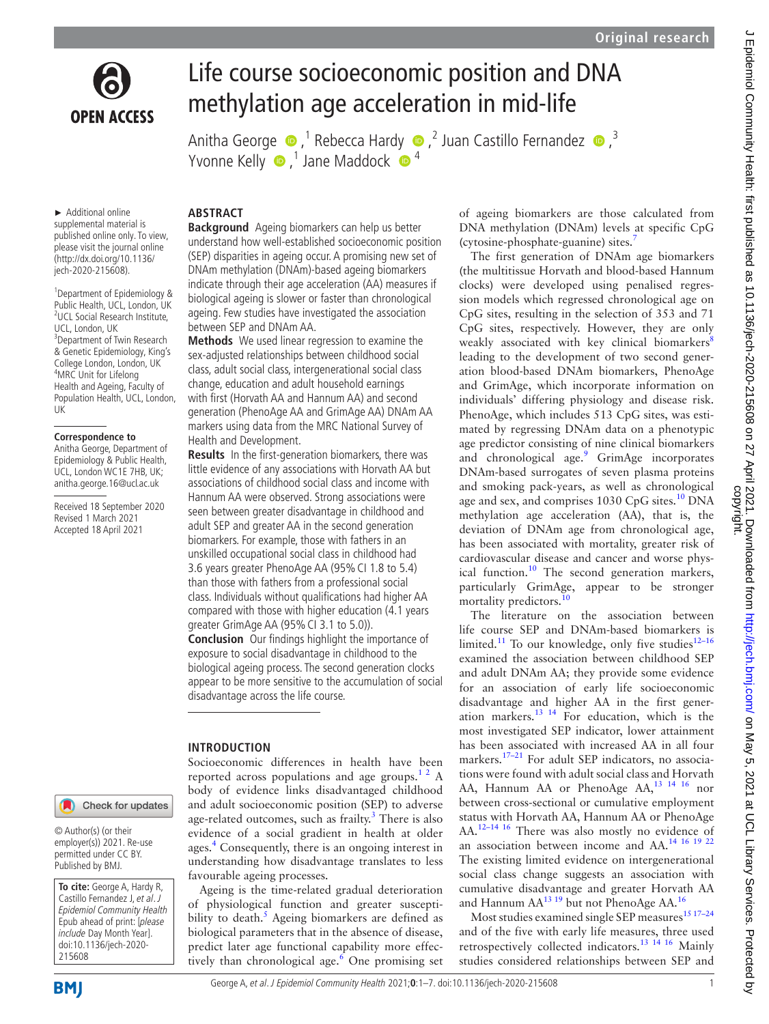

# Life course socioeconomic position and DNA methylation age acceleration in mid-life

AnithaGeorge  $\bigcirc$ , <sup>1</sup> Rebecca Hardy  $\bigcirc$ , <sup>2</sup> Juan Castillo Fernandez  $\bigcirc$ , <sup>3</sup> Yvonne Kelly  $\bullet$ ,<sup>1</sup> Jane Maddock  $\bullet$ <sup>4</sup>

► Additional online supplemental material is published online only. To view, please visit the journal online [\(http://dx.doi.org/10.1136/](http://dx.doi.org/10.1136/jech-2020-215608) [jech-2020-215608\)](http://dx.doi.org/10.1136/jech-2020-215608).

1 Department of Epidemiology & Public Health, UCL, London, UK <sup>2</sup>UCL Social Research Institute, UCL, London, UK 3 Department of Twin Research & Genetic Epidemiology, King's College London, London, UK 4 MRC Unit for Lifelong Health and Ageing, Faculty of Population Health, UCL, London, UK

#### **Correspondence to**

Anitha George, Department of Epidemiology & Public Health, UCL, London WC1E 7HB, UK; anitha.george.16@ucl.ac.uk

Received 18 September 2020 Revised 1 March 2021 Accepted 18 April 2021

# Check for updates

© Author(s) (or their employer(s)) 2021. Re-use permitted under CC BY. Published by BMJ.

**To cite:** George A, Hardy R, Castillo Fernandez J, et al. J Epidemiol Community Health Epub ahead of print: [please include Day Month Year]. doi:10.1136/jech-2020- 215608

# **ABSTRACT**

**Background** Ageing biomarkers can help us better understand how well-established socioeconomic position (SEP) disparities in ageing occur. A promising new set of DNAm methylation (DNAm)-based ageing biomarkers indicate through their age acceleration (AA) measures if biological ageing is slower or faster than chronological ageing. Few studies have investigated the association between SEP and DNAm AA.

**Methods** We used linear regression to examine the sex-adjusted relationships between childhood social class, adult social class, intergenerational social class change, education and adult household earnings with first (Horvath AA and Hannum AA) and second generation (PhenoAge AA and GrimAge AA) DNAm AA markers using data from the MRC National Survey of Health and Development.

**Results** In the first-generation biomarkers, there was little evidence of any associations with Horvath AA but associations of childhood social class and income with Hannum AA were observed. Strong associations were seen between greater disadvantage in childhood and adult SEP and greater AA in the second generation biomarkers. For example, those with fathers in an unskilled occupational social class in childhood had 3.6 years greater PhenoAge AA (95%CI 1.8 to 5.4) than those with fathers from a professional social class. Individuals without qualifications had higher AA compared with those with higher education (4.1 years greater GrimAge AA (95% CI 3.1 to 5.0)).

**Conclusion** Our findings highlight the importance of exposure to social disadvantage in childhood to the biological ageing process. The second generation clocks appear to be more sensitive to the accumulation of social disadvantage across the life course.

# **INTRODUCTION**

Socioeconomic differences in health have been reported across populations and age groups.<sup>12</sup> A body of evidence links disadvantaged childhood and adult socioeconomic position (SEP) to adverse age-related outcomes, such as frailty.<sup>[3](#page-6-1)</sup> There is also evidence of a social gradient in health at older ages[.4](#page-6-2) Consequently, there is an ongoing interest in understanding how disadvantage translates to less favourable ageing processes.

Ageing is the time-related gradual deterioration of physiological function and greater susceptibility to death.<sup>5</sup> Ageing biomarkers are defined as biological parameters that in the absence of disease, predict later age functional capability more effectively than chronological age.<sup>6</sup> One promising set of ageing biomarkers are those calculated from DNA methylation (DNAm) levels at specific CpG (cytosine-phosphate-guanine) sites[.7](#page-6-5)

The first generation of DNAm age biomarkers (the multitissue Horvath and blood-based Hannum clocks) were developed using penalised regression models which regressed chronological age on CpG sites, resulting in the selection of 353 and 71 CpG sites, respectively. However, they are only weakly associated with key clinical biomarkers<sup>[8](#page-6-6)</sup> leading to the development of two second generation blood-based DNAm biomarkers, PhenoAge and GrimAge, which incorporate information on individuals' differing physiology and disease risk. PhenoAge, which includes 513 CpG sites, was estimated by regressing DNAm data on a phenotypic age predictor consisting of nine clinical biomarkers and chronological age.<sup>9</sup> GrimAge incorporates DNAm-based surrogates of seven plasma proteins and smoking pack-years, as well as chronological age and sex, and comprises 1030 CpG sites.<sup>10</sup> DNA methylation age acceleration (AA), that is, the deviation of DNAm age from chronological age, has been associated with mortality, greater risk of cardiovascular disease and cancer and worse physical function.<sup>10</sup> The second generation markers, particularly GrimAge, appear to be stronger mortality predictors.<sup>[10](#page-6-8)</sup>

The literature on the association between life course SEP and DNAm-based biomarkers is limited.<sup>11</sup> To our knowledge, only five studies<sup>12-16</sup> examined the association between childhood SEP and adult DNAm AA; they provide some evidence for an association of early life socioeconomic disadvantage and higher AA in the first generation markers.<sup>13 14</sup> For education, which is the most investigated SEP indicator, lower attainment has been associated with increased AA in all four markers.<sup>[17–21](#page-6-12)</sup> For adult SEP indicators, no associations were found with adult social class and Horvath AA, Hannum AA or PhenoAge AA,<sup>[13 14 16](#page-6-11)</sup> nor between cross-sectional or cumulative employment status with Horvath AA, Hannum AA or PhenoAge AA.<sup>12–14 16</sup> There was also mostly no evidence of an association between income and AA.[14 16 19 22](#page-6-13) The existing limited evidence on intergenerational social class change suggests an association with cumulative disadvantage and greater Horvath AA and Hannum AA<sup>13 19</sup> but not PhenoAge AA.<sup>[16](#page-6-14)</sup>

Most studies examined single SEP measures<sup>15 17-24</sup> and of the five with early life measures, three used retrospectively collected indicators.[13 14 16](#page-6-11) Mainly studies considered relationships between SEP and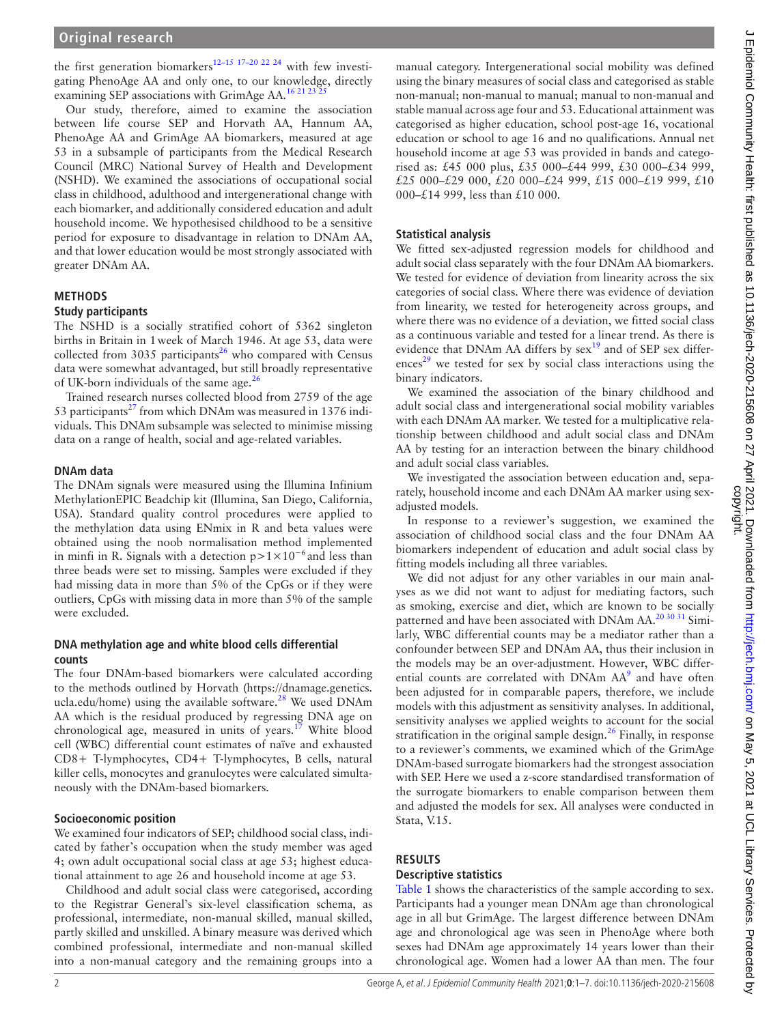the first generation biomarkers<sup>[12–15 17–20 22 24](#page-6-10)</sup> with few investigating PhenoAge AA and only one, to our knowledge, directly examining SEP associations with GrimAge AA.<sup>16 21 23</sup>

Our study, therefore, aimed to examine the association between life course SEP and Horvath AA, Hannum AA, PhenoAge AA and GrimAge AA biomarkers, measured at age 53 in a subsample of participants from the Medical Research Council (MRC) National Survey of Health and Development (NSHD). We examined the associations of occupational social class in childhood, adulthood and intergenerational change with each biomarker, and additionally considered education and adult household income. We hypothesised childhood to be a sensitive period for exposure to disadvantage in relation to DNAm AA, and that lower education would be most strongly associated with greater DNAm AA.

# **METHODS**

#### **Study participants**

The NSHD is a socially stratified cohort of 5362 singleton births in Britain in 1week of March 1946. At age 53, data were collected from 3035 participants<sup>[26](#page-6-16)</sup> who compared with Census data were somewhat advantaged, but still broadly representative of UK-born individuals of the same age. $^{26}$ 

Trained research nurses collected blood from 2759 of the age 53 participants $^{27}$  from which DNAm was measured in 1376 individuals. This DNAm subsample was selected to minimise missing data on a range of health, social and age-related variables.

## **DNAm data**

The DNAm signals were measured using the Illumina Infinium MethylationEPIC Beadchip kit (Illumina, San Diego, California, USA). Standard quality control procedures were applied to the methylation data using ENmix in R and beta values were obtained using the noob normalisation method implemented in minfi in R. Signals with a detection  $p>1\times10^{-6}$  and less than three beads were set to missing. Samples were excluded if they had missing data in more than 5% of the CpGs or if they were outliers, CpGs with missing data in more than 5% of the sample were excluded.

## **DNA methylation age and white blood cells differential counts**

The four DNAm-based biomarkers were calculated according to the methods outlined by Horvath [\(https://dnamage.genetics.](https://dnamage.genetics.ucla.edu/home) [ucla.edu/home](https://dnamage.genetics.ucla.edu/home)) using the available software.<sup>28</sup> We used DNAm AA which is the residual produced by regressing DNA age on chronological age, measured in units of years.<sup>[17](#page-6-12)</sup> White blood cell (WBC) differential count estimates of naïve and exhausted CD8+ T-lymphocytes, CD4+ T-lymphocytes, B cells, natural killer cells, monocytes and granulocytes were calculated simultaneously with the DNAm-based biomarkers.

# **Socioeconomic position**

We examined four indicators of SEP; childhood social class, indicated by father's occupation when the study member was aged 4; own adult occupational social class at age 53; highest educational attainment to age 26 and household income at age 53.

Childhood and adult social class were categorised, according to the Registrar General's six-level classification schema, as professional, intermediate, non-manual skilled, manual skilled, partly skilled and unskilled. A binary measure was derived which combined professional, intermediate and non-manual skilled into a non-manual category and the remaining groups into a

manual category. Intergenerational social mobility was defined using the binary measures of social class and categorised as stable non-manual; non-manual to manual; manual to non-manual and stable manual across age four and 53. Educational attainment was categorised as higher education, school post-age 16, vocational education or school to age 16 and no qualifications. Annual net household income at age 53 was provided in bands and categorised as: £45 000 plus, £35 000–£44 999, £30 000–£34 999, £25 000–£29 000, £20 000–£24 999, £15 000–£19 999, £10 000–£14 999, less than £10 000.

# **Statistical analysis**

We fitted sex-adjusted regression models for childhood and adult social class separately with the four DNAm AA biomarkers. We tested for evidence of deviation from linearity across the six categories of social class. Where there was evidence of deviation from linearity, we tested for heterogeneity across groups, and where there was no evidence of a deviation, we fitted social class as a continuous variable and tested for a linear trend. As there is evidence that DNAm AA differs by sex<sup>[19](#page-6-19)</sup> and of SEP sex differ $e<sup>29</sup>$  we tested for sex by social class interactions using the binary indicators.

We examined the association of the binary childhood and adult social class and intergenerational social mobility variables with each DNAm AA marker. We tested for a multiplicative relationship between childhood and adult social class and DNAm AA by testing for an interaction between the binary childhood and adult social class variables.

We investigated the association between education and, separately, household income and each DNAm AA marker using sexadjusted models.

In response to a reviewer's suggestion, we examined the association of childhood social class and the four DNAm AA biomarkers independent of education and adult social class by fitting models including all three variables.

We did not adjust for any other variables in our main analyses as we did not want to adjust for mediating factors, such as smoking, exercise and diet, which are known to be socially patterned and have been associated with DNAm AA.<sup>20 30 31</sup> Similarly, WBC differential counts may be a mediator rather than a confounder between SEP and DNAm AA, thus their inclusion in the models may be an over-adjustment. However, WBC differ-ential counts are correlated with DNAm AA<sup>[9](#page-6-7)</sup> and have often been adjusted for in comparable papers, therefore, we include models with this adjustment as sensitivity analyses. In additional, sensitivity analyses we applied weights to account for the social stratification in the original sample design. $^{26}$  $^{26}$  $^{26}$  Finally, in response to a reviewer's comments, we examined which of the GrimAge DNAm-based surrogate biomarkers had the strongest association with SEP. Here we used a z-score standardised transformation of the surrogate biomarkers to enable comparison between them and adjusted the models for sex. All analyses were conducted in Stata, V.15.

# **RESULTS**

# **Descriptive statistics**

[Table](#page-2-0) 1 shows the characteristics of the sample according to sex. Participants had a younger mean DNAm age than chronological age in all but GrimAge. The largest difference between DNAm age and chronological age was seen in PhenoAge where both sexes had DNAm age approximately 14 years lower than their chronological age. Women had a lower AA than men. The four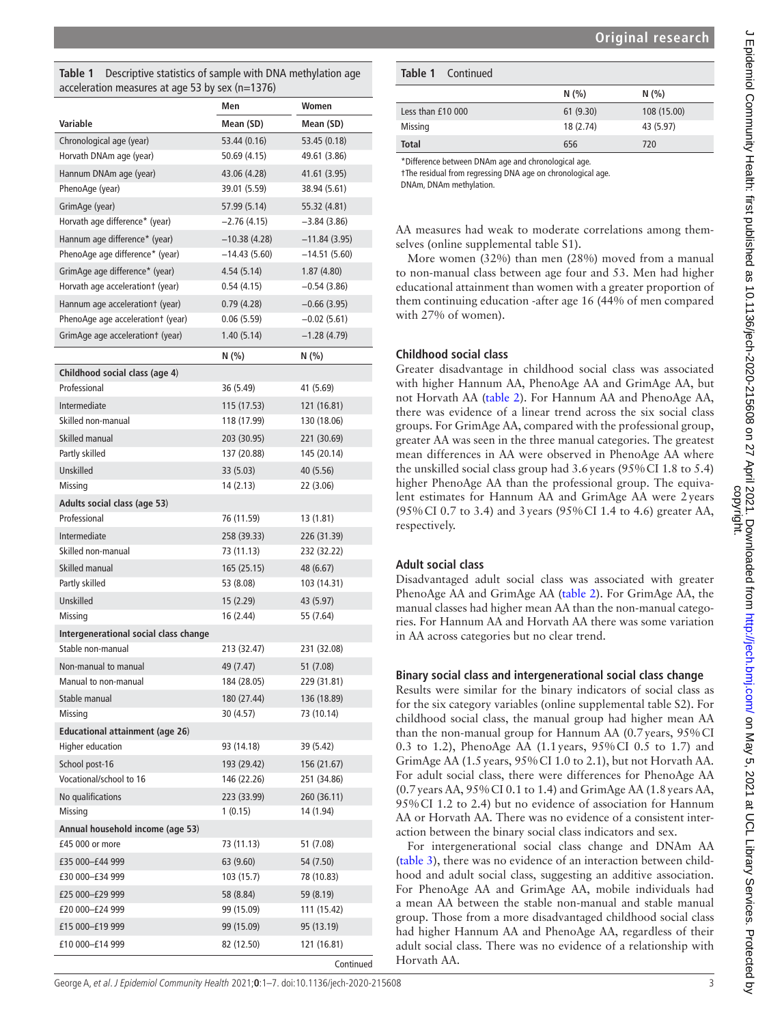<span id="page-2-0"></span>

| <b>Table 1</b> Descriptive statistics of sample with DNA methylation age |
|--------------------------------------------------------------------------|
| acceleration measures at age 53 by sex (n=1376)                          |

| Variable<br>Mean (SD)<br>Mean (SD)<br>Chronological age (year)<br>53.44 (0.16)<br>53.45 (0.18)<br>Horvath DNAm age (year)<br>50.69 (4.15)<br>49.61 (3.86)<br>Hannum DNAm age (year)<br>43.06 (4.28)<br>41.61 (3.95)<br>PhenoAge (year)<br>39.01 (5.59)<br>38.94 (5.61) |
|------------------------------------------------------------------------------------------------------------------------------------------------------------------------------------------------------------------------------------------------------------------------|
|                                                                                                                                                                                                                                                                        |
|                                                                                                                                                                                                                                                                        |
|                                                                                                                                                                                                                                                                        |
|                                                                                                                                                                                                                                                                        |
|                                                                                                                                                                                                                                                                        |
| GrimAge (year)<br>57.99 (5.14)<br>55.32 (4.81)                                                                                                                                                                                                                         |
| Horvath age difference* (year)<br>$-2.76(4.15)$<br>$-3.84(3.86)$                                                                                                                                                                                                       |
| Hannum age difference* (year)<br>$-10.38(4.28)$<br>$-11.84(3.95)$                                                                                                                                                                                                      |
| PhenoAge age difference* (year)<br>$-14.43(5.60)$<br>$-14.51(5.60)$                                                                                                                                                                                                    |
| GrimAge age difference* (year)<br>4.54(5.14)<br>1.87(4.80)                                                                                                                                                                                                             |
| Horvath age accelerationt (year)<br>0.54(4.15)<br>$-0.54(3.86)$                                                                                                                                                                                                        |
| Hannum age accelerationt (year)<br>0.79(4.28)<br>$-0.66(3.95)$                                                                                                                                                                                                         |
| PhenoAge age accelerationt (year)<br>0.06(5.59)<br>$-0.02(5.61)$                                                                                                                                                                                                       |
| GrimAge age accelerationt (year)<br>1.40(5.14)<br>$-1.28(4.79)$                                                                                                                                                                                                        |
| N(%)<br>N(% )                                                                                                                                                                                                                                                          |
| Childhood social class (age 4)                                                                                                                                                                                                                                         |
| Professional<br>36 (5.49)<br>41 (5.69)                                                                                                                                                                                                                                 |
| Intermediate<br>115 (17.53)<br>121 (16.81)                                                                                                                                                                                                                             |
| Skilled non-manual<br>118 (17.99)<br>130 (18.06)                                                                                                                                                                                                                       |
| Skilled manual<br>203 (30.95)<br>221 (30.69)                                                                                                                                                                                                                           |
| Partly skilled<br>137 (20.88)<br>145 (20.14)                                                                                                                                                                                                                           |
| Unskilled<br>33 (5.03)<br>40 (5.56)                                                                                                                                                                                                                                    |
| Missing<br>14 (2.13)<br>22 (3.06)                                                                                                                                                                                                                                      |
| Adults social class (age 53)                                                                                                                                                                                                                                           |
| Professional<br>76 (11.59)<br>13 (1.81)                                                                                                                                                                                                                                |
| Intermediate<br>258 (39.33)<br>226 (31.39)                                                                                                                                                                                                                             |
| Skilled non-manual<br>73 (11.13)<br>232 (32.22)                                                                                                                                                                                                                        |
| Skilled manual<br>165 (25.15)<br>48 (6.67)                                                                                                                                                                                                                             |
| Partly skilled<br>53 (8.08)<br>103 (14.31)                                                                                                                                                                                                                             |
| Unskilled<br>15 (2.29)<br>43 (5.97)                                                                                                                                                                                                                                    |
| Missing<br>16 (2.44)<br>55 (7.64)                                                                                                                                                                                                                                      |
| Intergenerational social class change                                                                                                                                                                                                                                  |
| Stable non-manual<br>213 (32.47)<br>231 (32.08)                                                                                                                                                                                                                        |
| Non-manual to manual<br>49 (7.47)<br>51 (7.08)                                                                                                                                                                                                                         |
| Manual to non-manual<br>184 (28.05)<br>229 (31.81)                                                                                                                                                                                                                     |
| Stable manual<br>180 (27.44)<br>136 (18.89)                                                                                                                                                                                                                            |
| 30 (4.57)<br>73 (10.14)<br>Missing                                                                                                                                                                                                                                     |
| <b>Educational attainment (age 26)</b>                                                                                                                                                                                                                                 |
| <b>Higher education</b><br>93 (14.18)<br>39 (5.42)                                                                                                                                                                                                                     |
| School post-16<br>193 (29.42)<br>156 (21.67)                                                                                                                                                                                                                           |
| Vocational/school to 16<br>146 (22.26)<br>251 (34.86)                                                                                                                                                                                                                  |
| No qualifications<br>223 (33.99)<br>260 (36.11)                                                                                                                                                                                                                        |
| Missing<br>1(0.15)<br>14 (1.94)                                                                                                                                                                                                                                        |
| Annual household income (age 53)                                                                                                                                                                                                                                       |
| 51 (7.08)<br>£45 000 or more<br>73 (11.13)                                                                                                                                                                                                                             |
| £35 000-£44 999<br>63 (9.60)<br>54 (7.50)                                                                                                                                                                                                                              |
| 103 (15.7)<br>78 (10.83)<br>£30 000-£34 999                                                                                                                                                                                                                            |
| £25 000-£29 999<br>58 (8.84)<br>59 (8.19)                                                                                                                                                                                                                              |
| £20 000-£24 999<br>99 (15.09)<br>111 (15.42)                                                                                                                                                                                                                           |
| £15 000-£19 999<br>99 (15.09)<br>95 (13.19)                                                                                                                                                                                                                            |
| £10 000-£14 999<br>82 (12.50)<br>121 (16.81)                                                                                                                                                                                                                           |
| Continued                                                                                                                                                                                                                                                              |

| <b>Table 1</b> Continued |           |             |  |  |
|--------------------------|-----------|-------------|--|--|
|                          | N(%       | N(% )       |  |  |
| Less than £10 000        | 61 (9.30) | 108 (15.00) |  |  |
| <b>Missing</b>           | 18 (2.74) | 43 (5.97)   |  |  |
| <b>Total</b>             | 656       | 720         |  |  |
|                          |           |             |  |  |

\*Difference between DNAm age and chronological age.

†The residual from regressing DNA age on chronological age.

DNAm, DNAm methylation.

AA measures had weak to moderate correlations among themselves [\(online supplemental table S1](https://dx.doi.org/10.1136/jech-2020-215608)).

More women (32%) than men (28%) moved from a manual to non-manual class between age four and 53. Men had higher educational attainment than women with a greater proportion of them continuing education -after age 16 (44% of men compared with 27% of women).

#### **Childhood social class**

Greater disadvantage in childhood social class was associated with higher Hannum AA, PhenoAge AA and GrimAge AA, but not Horvath AA [\(table](#page-3-0) 2). For Hannum AA and PhenoAge AA, there was evidence of a linear trend across the six social class groups. For GrimAge AA, compared with the professional group, greater AA was seen in the three manual categories. The greatest mean differences in AA were observed in PhenoAge AA where the unskilled social class group had 3.6years (95%CI 1.8 to 5.4) higher PhenoAge AA than the professional group. The equivalent estimates for Hannum AA and GrimAge AA were 2years (95%CI 0.7 to 3.4) and 3years (95%CI 1.4 to 4.6) greater AA, respectively.

## **Adult social class**

Disadvantaged adult social class was associated with greater PhenoAge AA and GrimAge AA ([table](#page-3-0) 2). For GrimAge AA, the manual classes had higher mean AA than the non-manual categories. For Hannum AA and Horvath AA there was some variation in AA across categories but no clear trend.

#### **Binary social class and intergenerational social class change**

Results were similar for the binary indicators of social class as for the six category variables ([online supplemental table S2](https://dx.doi.org/10.1136/jech-2020-215608)). For childhood social class, the manual group had higher mean AA than the non-manual group for Hannum AA (0.7years, 95%CI 0.3 to 1.2), PhenoAge AA (1.1years, 95%CI 0.5 to 1.7) and GrimAge AA (1.5years, 95%CI 1.0 to 2.1), but not Horvath AA. For adult social class, there were differences for PhenoAge AA (0.7years AA, 95%CI 0.1 to 1.4) and GrimAge AA (1.8years AA, 95%CI 1.2 to 2.4) but no evidence of association for Hannum AA or Horvath AA. There was no evidence of a consistent interaction between the binary social class indicators and sex.

For intergenerational social class change and DNAm AA ([table](#page-3-1) 3), there was no evidence of an interaction between childhood and adult social class, suggesting an additive association. For PhenoAge AA and GrimAge AA, mobile individuals had a mean AA between the stable non-manual and stable manual group. Those from a more disadvantaged childhood social class had higher Hannum AA and PhenoAge AA, regardless of their adult social class. There was no evidence of a relationship with Horvath AA.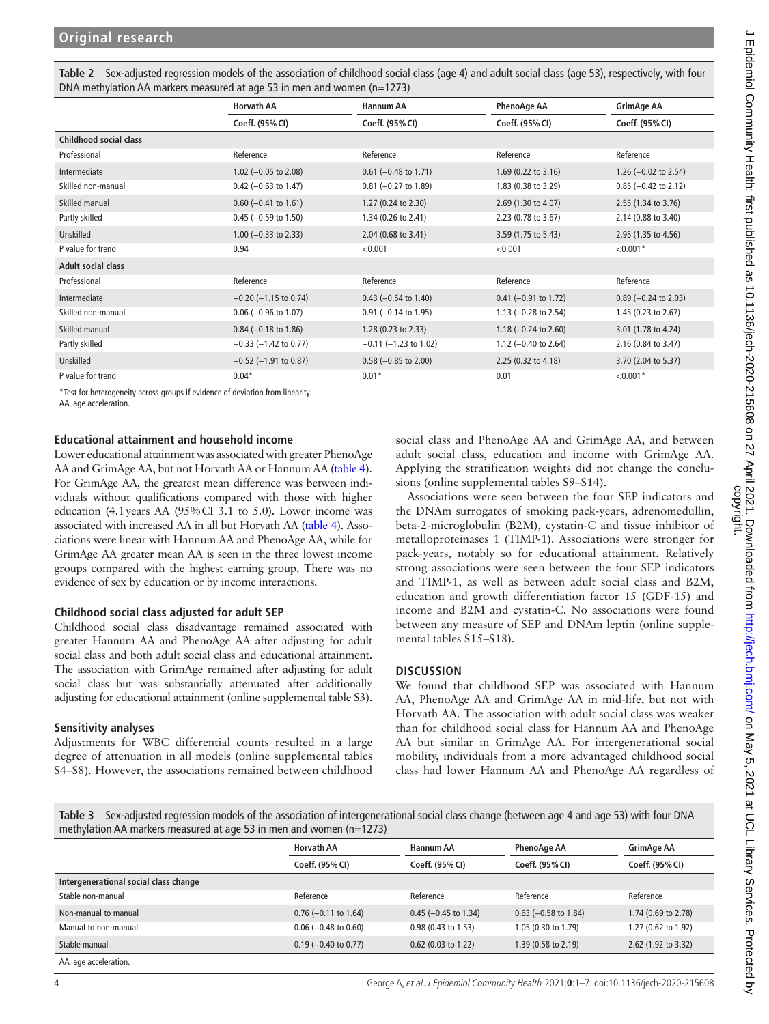<span id="page-3-0"></span>

| Table 2 Sex-adjusted regression models of the association of childhood social class (age 4) and adult social class (age 53), respectively, with four |
|------------------------------------------------------------------------------------------------------------------------------------------------------|
| DNA methylation AA markers measured at age 53 in men and women $(n=1273)$                                                                            |

|                               | <b>Horvath AA</b>          | Hannum AA                      | <b>PhenoAge AA</b>              | GrimAge AA                      |
|-------------------------------|----------------------------|--------------------------------|---------------------------------|---------------------------------|
|                               | Coeff. (95% CI)            | Coeff. (95% CI)                | Coeff. (95% CI)                 | Coeff. (95% CI)                 |
| <b>Childhood social class</b> |                            |                                |                                 |                                 |
| Professional                  | Reference                  | Reference                      | Reference                       | Reference                       |
| Intermediate                  | 1.02 ( $-0.05$ to 2.08)    | $0.61$ (-0.48 to 1.71)         | 1.69 (0.22 to 3.16)             | 1.26 $(-0.02 \text{ to } 2.54)$ |
| Skilled non-manual            | $0.42$ (-0.63 to 1.47)     | $0.81$ (-0.27 to 1.89)         | 1.83 $(0.38 \text{ to } 3.29)$  | $0.85$ (-0.42 to 2.12)          |
| Skilled manual                | $0.60$ (-0.41 to 1.61)     | 1.27 (0.24 to 2.30)            | 2.69 (1.30 to 4.07)             | 2.55 (1.34 to 3.76)             |
| Partly skilled                | $0.45$ (-0.59 to 1.50)     | 1.34 $(0.26 \text{ to } 2.41)$ | $2.23(0.78 \text{ to } 3.67)$   | 2.14 (0.88 to 3.40)             |
| Unskilled                     | $1.00$ (-0.33 to 2.33)     | $2.04$ (0.68 to 3.41)          | 3.59 (1.75 to 5.43)             | 2.95 (1.35 to 4.56)             |
| P value for trend             | 0.94                       | < 0.001                        | < 0.001                         | $< 0.001*$                      |
| <b>Adult social class</b>     |                            |                                |                                 |                                 |
| Professional                  | Reference                  | Reference                      | Reference                       | Reference                       |
| Intermediate                  | $-0.20$ ( $-1.15$ to 0.74) | $0.43$ (-0.54 to 1.40)         | $0.41$ (-0.91 to 1.72)          | $0.89$ (-0.24 to 2.03)          |
| Skilled non-manual            | $0.06$ (-0.96 to 1.07)     | $0.91$ (-0.14 to 1.95)         | 1.13 $(-0.28$ to 2.54)          | 1.45 $(0.23$ to 2.67)           |
| Skilled manual                | $0.84$ (-0.18 to 1.86)     | $1.28(0.23 \text{ to } 2.33)$  | 1.18 $(-0.24 \text{ to } 2.60)$ | 3.01 (1.78 to 4.24)             |
| Partly skilled                | $-0.33$ ( $-1.42$ to 0.77) | $-0.11$ ( $-1.23$ to 1.02)     | 1.12 $(-0.40 \text{ to } 2.64)$ | 2.16 (0.84 to 3.47)             |
| Unskilled                     | $-0.52$ ( $-1.91$ to 0.87) | $0.58$ (-0.85 to 2.00)         | 2.25 (0.32 to 4.18)             | 3.70 (2.04 to 5.37)             |
| P value for trend             | $0.04*$                    | $0.01*$                        | 0.01                            | $< 0.001*$                      |

\*Test for heterogeneity across groups if evidence of deviation from linearity.

AA, age acceleration.

#### **Educational attainment and household income**

Lower educational attainment was associated with greater PhenoAge AA and GrimAge AA, but not Horvath AA or Hannum AA [\(table](#page-4-0) 4). For GrimAge AA, the greatest mean difference was between individuals without qualifications compared with those with higher education (4.1years AA (95%CI 3.1 to 5.0). Lower income was associated with increased AA in all but Horvath AA [\(table](#page-4-0) 4). Associations were linear with Hannum AA and PhenoAge AA, while for GrimAge AA greater mean AA is seen in the three lowest income groups compared with the highest earning group. There was no evidence of sex by education or by income interactions.

#### **Childhood social class adjusted for adult SEP**

Childhood social class disadvantage remained associated with greater Hannum AA and PhenoAge AA after adjusting for adult social class and both adult social class and educational attainment. The association with GrimAge remained after adjusting for adult social class but was substantially attenuated after additionally adjusting for educational attainment ([online supplemental table S3](https://dx.doi.org/10.1136/jech-2020-215608)).

#### **Sensitivity analyses**

Adjustments for WBC differential counts resulted in a large degree of attenuation in all models [\(online supplemental tables](https://dx.doi.org/10.1136/jech-2020-215608)  [S4–S8\)](https://dx.doi.org/10.1136/jech-2020-215608). However, the associations remained between childhood social class and PhenoAge AA and GrimAge AA, and between adult social class, education and income with GrimAge AA. Applying the stratification weights did not change the conclusions [\(online supplemental tables S9–S14\)](https://dx.doi.org/10.1136/jech-2020-215608).

Associations were seen between the four SEP indicators and the DNAm surrogates of smoking pack-years, adrenomedullin, beta-2-microglobulin (B2M), cystatin-C and tissue inhibitor of metalloproteinases 1 (TIMP-1). Associations were stronger for pack-years, notably so for educational attainment. Relatively strong associations were seen between the four SEP indicators and TIMP-1, as well as between adult social class and B2M, education and growth differentiation factor 15 (GDF-15) and income and B2M and cystatin-C. No associations were found between any measure of SEP and DNAm leptin [\(online supple](https://dx.doi.org/10.1136/jech-2020-215608)[mental tables S15–S18](https://dx.doi.org/10.1136/jech-2020-215608)).

#### **DISCUSSION**

We found that childhood SEP was associated with Hannum AA, PhenoAge AA and GrimAge AA in mid-life, but not with Horvath AA. The association with adult social class was weaker than for childhood social class for Hannum AA and PhenoAge AA but similar in GrimAge AA. For intergenerational social mobility, individuals from a more advantaged childhood social class had lower Hannum AA and PhenoAge AA regardless of

<span id="page-3-1"></span>**Table 3** Sex-adjusted regression models of the association of intergenerational social class change (between age 4 and age 53) with four DNA methylation AA markers measured at age 53 in men and women (n=1273)

|                                       | <b>Horvath AA</b>      | <b>Hannum AA</b>       | <b>PhenoAge AA</b>     | GrimAge AA          |
|---------------------------------------|------------------------|------------------------|------------------------|---------------------|
|                                       | Coeff. (95% CI)        | Coeff. (95% CI)        | Coeff. (95% CI)        | Coeff. (95% CI)     |
| Intergenerational social class change |                        |                        |                        |                     |
| Stable non-manual                     | Reference              | Reference              | Reference              | Reference           |
| Non-manual to manual                  | $0.76$ (-0.11 to 1.64) | $0.45$ (-0.45 to 1.34) | $0.63$ (-0.58 to 1.84) | 1.74 (0.69 to 2.78) |
| Manual to non-manual                  | $0.06$ (-0.48 to 0.60) | 0.98 (0.43 to 1.53)    | 1.05 (0.30 to 1.79)    | 1.27 (0.62 to 1.92) |
| Stable manual                         | $0.19$ (-0.40 to 0.77) | $0.62$ (0.03 to 1.22)  | 1.39 (0.58 to 2.19)    | 2.62 (1.92 to 3.32) |
| AA 200 accoloration                   |                        |                        |                        |                     |

AA, age acceleration.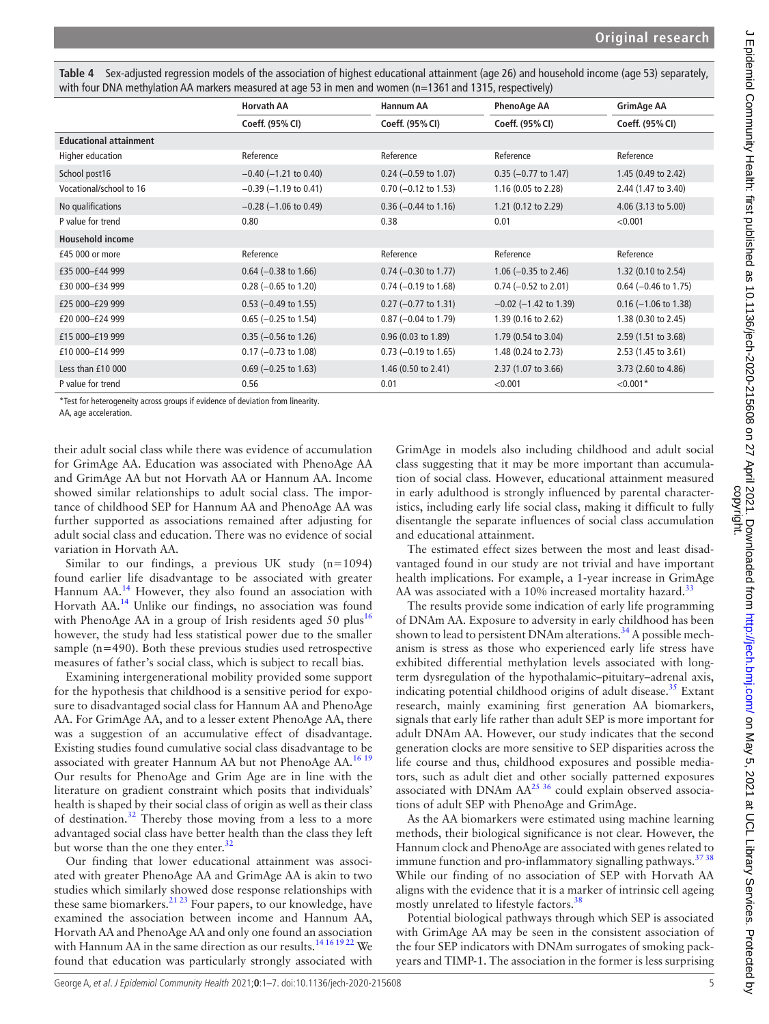<span id="page-4-0"></span>**Table 4** Sex-adjusted regression models of the association of highest educational attainment (age 26) and household income (age 53) separately, with four DNA methylation AA markers measured at age 53 in men and women (n=1361 and 1315, respectively)

|                                                                                                         | <b>Horvath AA</b>          | <b>Hannum AA</b>               | <b>PhenoAge AA</b>             | GrimAge AA             |
|---------------------------------------------------------------------------------------------------------|----------------------------|--------------------------------|--------------------------------|------------------------|
|                                                                                                         | Coeff. (95% CI)            | Coeff. (95% CI)                | Coeff. (95% CI)                | Coeff. (95% CI)        |
| <b>Educational attainment</b>                                                                           |                            |                                |                                |                        |
| Higher education                                                                                        | Reference                  | Reference                      | Reference                      | Reference              |
| School post16                                                                                           | $-0.40$ ( $-1.21$ to 0.40) | $0.24$ (-0.59 to 1.07)         | $0.35$ (-0.77 to 1.47)         | 1.45 (0.49 to 2.42)    |
| Vocational/school to 16                                                                                 | $-0.39$ ( $-1.19$ to 0.41) | $0.70$ (-0.12 to 1.53)         | 1.16 (0.05 to 2.28)            | 2.44 (1.47 to 3.40)    |
| No qualifications                                                                                       | $-0.28$ ( $-1.06$ to 0.49) | $0.36$ (-0.44 to 1.16)         | 1.21 $(0.12 \text{ to } 2.29)$ | 4.06 (3.13 to 5.00)    |
| P value for trend                                                                                       | 0.80                       | 0.38                           | 0.01                           | < 0.001                |
| <b>Household income</b>                                                                                 |                            |                                |                                |                        |
| £45 000 or more                                                                                         | Reference                  | Reference                      | Reference                      | Reference              |
| £35 000-£44 999                                                                                         | $0.64$ (-0.38 to 1.66)     | $0.74$ (-0.30 to 1.77)         | 1.06 $(-0.35$ to 2.46)         | 1.32 (0.10 to 2.54)    |
| £30 000-£34 999                                                                                         | $0.28$ (-0.65 to 1.20)     | $0.74$ (-0.19 to 1.68)         | $0.74 (-0.52$ to 2.01)         | $0.64$ (-0.46 to 1.75) |
| £25 000-£29 999                                                                                         | $0.53$ (-0.49 to 1.55)     | $0.27$ (-0.77 to 1.31)         | $-0.02$ ( $-1.42$ to 1.39)     | $0.16$ (-1.06 to 1.38) |
| £20 000-£24 999                                                                                         | $0.65$ (-0.25 to 1.54)     | $0.87$ (-0.04 to 1.79)         | 1.39 (0.16 to 2.62)            | 1.38 (0.30 to 2.45)    |
| £15 000-£19 999                                                                                         | $0.35$ (-0.56 to 1.26)     | $0.96$ (0.03 to 1.89)          | 1.79 (0.54 to 3.04)            | 2.59 (1.51 to 3.68)    |
| £10 000-£14 999                                                                                         | $0.17$ (-0.73 to 1.08)     | $0.73$ (-0.19 to 1.65)         | 1.48 (0.24 to 2.73)            | 2.53 (1.45 to 3.61)    |
| Less than £10 000                                                                                       | $0.69$ (-0.25 to 1.63)     | 1.46 $(0.50 \text{ to } 2.41)$ | 2.37 (1.07 to 3.66)            | 3.73 (2.60 to 4.86)    |
| P value for trend                                                                                       | 0.56                       | 0.01                           | < 0.001                        | $< 0.001*$             |
| *T. In fact to change with the company wealth of the following of the fact and the control the continua |                            |                                |                                |                        |

Test for heterogeneity across groups if evidence of deviation from linearity.

AA, age acceleration.

their adult social class while there was evidence of accumulation for GrimAge AA. Education was associated with PhenoAge AA and GrimAge AA but not Horvath AA or Hannum AA. Income showed similar relationships to adult social class. The importance of childhood SEP for Hannum AA and PhenoAge AA was further supported as associations remained after adjusting for adult social class and education. There was no evidence of social variation in Horvath AA.

Similar to our findings, a previous UK study  $(n=1094)$ found earlier life disadvantage to be associated with greater Hannum AA.<sup>[14](#page-6-13)</sup> However, they also found an association with Horvath AA.[14](#page-6-13) Unlike our findings, no association was found with PhenoAge AA in a group of Irish residents aged 50 plus<sup>[16](#page-6-14)</sup> however, the study had less statistical power due to the smaller sample (n=490). Both these previous studies used retrospective measures of father's social class, which is subject to recall bias.

Examining intergenerational mobility provided some support for the hypothesis that childhood is a sensitive period for exposure to disadvantaged social class for Hannum AA and PhenoAge AA. For GrimAge AA, and to a lesser extent PhenoAge AA, there was a suggestion of an accumulative effect of disadvantage. Existing studies found cumulative social class disadvantage to be associated with greater Hannum AA but not PhenoAge AA.<sup>16 19</sup> Our results for PhenoAge and Grim Age are in line with the literature on gradient constraint which posits that individuals' health is shaped by their social class of origin as well as their class of destination.<sup>[32](#page-6-22)</sup> Thereby those moving from a less to a more advantaged social class have better health than the class they left but worse than the one they enter.<sup>[32](#page-6-22)</sup>

Our finding that lower educational attainment was associated with greater PhenoAge AA and GrimAge AA is akin to two studies which similarly showed dose response relationships with these same biomarkers. $21^{23}$  Four papers, to our knowledge, have examined the association between income and Hannum AA, Horvath AA and PhenoAge AA and only one found an association with Hannum AA in the same direction as our results.<sup>14 16 19 22</sup> We found that education was particularly strongly associated with

GrimAge in models also including childhood and adult social class suggesting that it may be more important than accumulation of social class. However, educational attainment measured in early adulthood is strongly influenced by parental characteristics, including early life social class, making it difficult to fully disentangle the separate influences of social class accumulation and educational attainment.

The estimated effect sizes between the most and least disadvantaged found in our study are not trivial and have important health implications. For example, a 1-year increase in GrimAge AA was associated with a 10% increased mortality hazard.<sup>33</sup>

The results provide some indication of early life programming of DNAm AA. Exposure to adversity in early childhood has been shown to lead to persistent DNAm alterations.<sup>34</sup> A possible mechanism is stress as those who experienced early life stress have exhibited differential methylation levels associated with longterm dysregulation of the hypothalamic–pituitary–adrenal axis, indicating potential childhood origins of adult disease. $35$  Extant research, mainly examining first generation AA biomarkers, signals that early life rather than adult SEP is more important for adult DNAm AA. However, our study indicates that the second generation clocks are more sensitive to SEP disparities across the life course and thus, childhood exposures and possible mediators, such as adult diet and other socially patterned exposures associated with DNAm  $AA^{25}$ <sup>36</sup> could explain observed associations of adult SEP with PhenoAge and GrimAge.

As the AA biomarkers were estimated using machine learning methods, their biological significance is not clear. However, the Hannum clock and PhenoAge are associated with genes related to immune function and pro-inflammatory signalling pathways. $3738$ While our finding of no association of SEP with Horvath AA aligns with the evidence that it is a marker of intrinsic cell ageing mostly unrelated to lifestyle factors.<sup>[38](#page-6-29)</sup>

Potential biological pathways through which SEP is associated with GrimAge AA may be seen in the consistent association of the four SEP indicators with DNAm surrogates of smoking packyears and TIMP-1. The association in the former is less surprising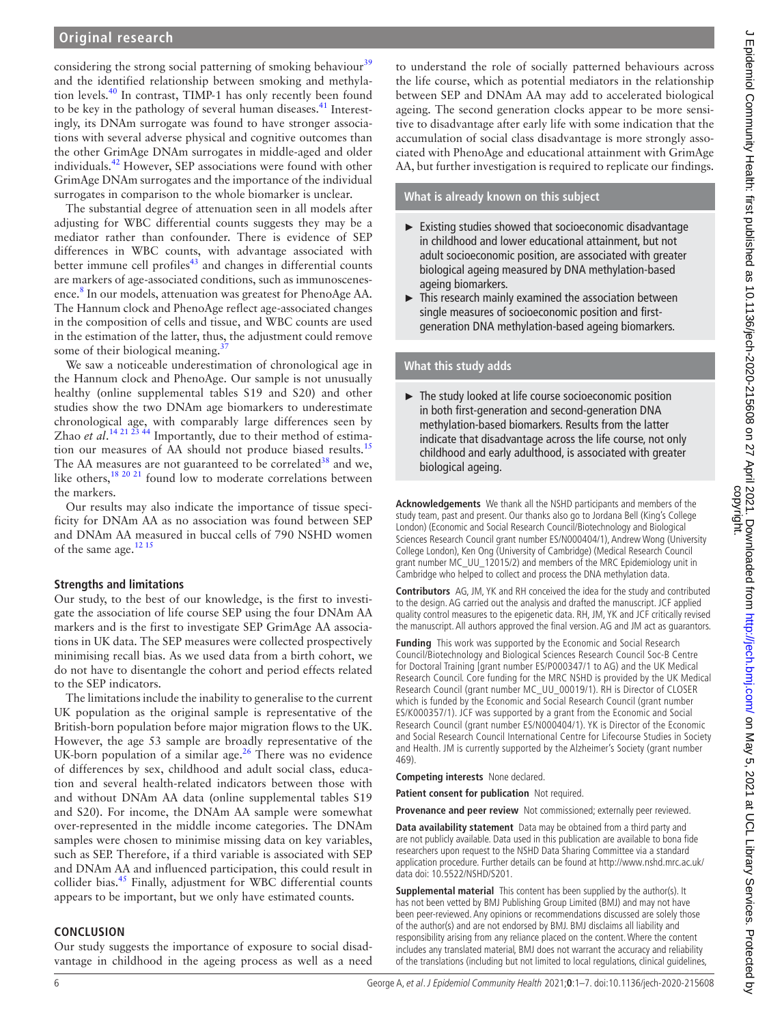considering the strong social patterning of smoking behaviour $39$ and the identified relationship between smoking and methylation levels.<sup>40</sup> In contrast, TIMP-1 has only recently been found to be key in the pathology of several human diseases.<sup>41</sup> Interestingly, its DNAm surrogate was found to have stronger associations with several adverse physical and cognitive outcomes than the other GrimAge DNAm surrogates in middle-aged and older individuals.<sup>42</sup> However, SEP associations were found with other GrimAge DNAm surrogates and the importance of the individual surrogates in comparison to the whole biomarker is unclear.

The substantial degree of attenuation seen in all models after adjusting for WBC differential counts suggests they may be a mediator rather than confounder. There is evidence of SEP differences in WBC counts, with advantage associated with better immune cell profiles<sup>43</sup> and changes in differential counts are markers of age-associated conditions, such as immunoscenes-ence.<sup>[8](#page-6-6)</sup> In our models, attenuation was greatest for PhenoAge AA. The Hannum clock and PhenoAge reflect age-associated changes in the composition of cells and tissue, and WBC counts are used in the estimation of the latter, thus, the adjustment could remove some of their biological meaning.<sup>3</sup>

We saw a noticeable underestimation of chronological age in the Hannum clock and PhenoAge. Our sample is not unusually healthy ([online supplemental tables S19 and S20](https://dx.doi.org/10.1136/jech-2020-215608)) and other studies show the two DNAm age biomarkers to underestimate chronological age, with comparably large differences seen by Zhao *et al*.<sup>14 21 23 <sup>44</sup> Importantly, due to their method of estima-</sup> tion our measures of AA should not produce biased results.<sup>[15](#page-6-15)</sup> The AA measures are not guaranteed to be correlated<sup>38</sup> and we, like others,  $18\frac{20\frac{21}{2}}{100\frac{1}{2}}$  found low to moderate correlations between the markers.

Our results may also indicate the importance of tissue specificity for DNAm AA as no association was found between SEP and DNAm AA measured in buccal cells of 790 NSHD women of the same age.<sup>12 15</sup>

# **Strengths and limitations**

Our study, to the best of our knowledge, is the first to investigate the association of life course SEP using the four DNAm AA markers and is the first to investigate SEP GrimAge AA associations in UK data. The SEP measures were collected prospectively minimising recall bias. As we used data from a birth cohort, we do not have to disentangle the cohort and period effects related to the SEP indicators.

The limitations include the inability to generalise to the current UK population as the original sample is representative of the British-born population before major migration flows to the UK. However, the age 53 sample are broadly representative of the UK-born population of a similar age.<sup>26</sup> There was no evidence of differences by sex, childhood and adult social class, education and several health-related indicators between those with and without DNAm AA data [\(online supplemental tables S19](https://dx.doi.org/10.1136/jech-2020-215608)  [and S20](https://dx.doi.org/10.1136/jech-2020-215608)). For income, the DNAm AA sample were somewhat over-represented in the middle income categories. The DNAm samples were chosen to minimise missing data on key variables, such as SEP. Therefore, if a third variable is associated with SEP and DNAm AA and influenced participation, this could result in collider bias.<sup>[45](#page-6-36)</sup> Finally, adjustment for WBC differential counts appears to be important, but we only have estimated counts.

## **CONCLUSION**

Our study suggests the importance of exposure to social disadvantage in childhood in the ageing process as well as a need

to understand the role of socially patterned behaviours across the life course, which as potential mediators in the relationship between SEP and DNAm AA may add to accelerated biological ageing. The second generation clocks appear to be more sensitive to disadvantage after early life with some indication that the accumulation of social class disadvantage is more strongly associated with PhenoAge and educational attainment with GrimAge AA, but further investigation is required to replicate our findings.

**What is already known on this subject**

- ► Existing studies showed that socioeconomic disadvantage in childhood and lower educational attainment, but not adult socioeconomic position, are associated with greater biological ageing measured by DNA methylation-based ageing biomarkers.
- ► This research mainly examined the association between single measures of socioeconomic position and firstgeneration DNA methylation-based ageing biomarkers.

# **What this study adds**

► The study looked at life course socioeconomic position in both first-generation and second-generation DNA methylation-based biomarkers. Results from the latter indicate that disadvantage across the life course, not only childhood and early adulthood, is associated with greater biological ageing.

**Acknowledgements** We thank all the NSHD participants and members of the study team, past and present. Our thanks also go to Jordana Bell (King's College London) (Economic and Social Research Council/Biotechnology and Biological Sciences Research Council grant number ES/N000404/1), Andrew Wong (University College London), Ken Ong (University of Cambridge) (Medical Research Council grant number MC\_UU\_12015/2) and members of the MRC Epidemiology unit in Cambridge who helped to collect and process the DNA methylation data.

**Contributors** AG, JM, YK and RH conceived the idea for the study and contributed to the design. AG carried out the analysis and drafted the manuscript. JCF applied quality control measures to the epigenetic data. RH, JM, YK and JCF critically revised the manuscript. All authors approved the final version. AG and JM act as guarantors.

**Funding** This work was supported by the Economic and Social Research Council/Biotechnology and Biological Sciences Research Council Soc-B Centre for Doctoral Training [grant number ES/P000347/1 to AG) and the UK Medical Research Council. Core funding for the MRC NSHD is provided by the UK Medical Research Council (grant number MC\_UU\_00019/1). RH is Director of CLOSER which is funded by the Economic and Social Research Council (grant number ES/K000357/1). JCF was supported by a grant from the Economic and Social Research Council (grant number ES/N000404/1). YK is Director of the Economic and Social Research Council International Centre for Lifecourse Studies in Society and Health. JM is currently supported by the Alzheimer's Society (grant number 469).

**Competing interests** None declared.

**Patient consent for publication** Not required.

**Provenance and peer review** Not commissioned; externally peer reviewed.

**Data availability statement** Data may be obtained from a third party and are not publicly available. Data used in this publication are available to bona fide researchers upon request to the NSHD Data Sharing Committee via a standard application procedure. Further details can be found at [http://www.nshd.mrc.ac.uk/](http://www.nshd.mrc.ac.uk/data) [data](http://www.nshd.mrc.ac.uk/data) doi: 10.5522/NSHD/S201.

**Supplemental material** This content has been supplied by the author(s). It has not been vetted by BMJ Publishing Group Limited (BMJ) and may not have been peer-reviewed. Any opinions or recommendations discussed are solely those of the author(s) and are not endorsed by BMJ. BMJ disclaims all liability and responsibility arising from any reliance placed on the content. Where the content includes any translated material, BMJ does not warrant the accuracy and reliability of the translations (including but not limited to local regulations, clinical guidelines,